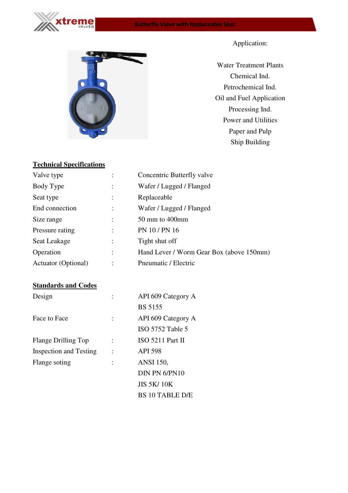## Butterfly Valve with Replaceable Seat



Application:



Water Treatment Plants Chemical Ind. Petrochemical Ind. Oil and Fuel Application Processing Ind. Power and Utilities Paper and Pulp Ship Building

## **Technical Specifications**

| Valve type                 |   | Concentric Butterfly valve               |
|----------------------------|---|------------------------------------------|
| Body Type                  |   | Wafer / Lugged / Flanged                 |
| Seat type                  |   | Replaceable                              |
| End connection             |   | Wafer / Lugged / Flanged                 |
| Size range                 |   | 50 mm to 400mm                           |
| Pressure rating            |   | PN 10 / PN 16                            |
| Seat Leakage               | ٠ | Tight shut off                           |
| Operation                  |   | Hand Lever / Worm Gear Box (above 150mm) |
| <b>Actuator (Optional)</b> |   | Pneumatic / Electric                     |
|                            |   |                                          |

BS 10 TABLE D/E

## **Standards and Codes**

| Design                        | API 609 Category A      |
|-------------------------------|-------------------------|
|                               | <b>BS</b> 5155          |
| Face to Face                  | API 609 Category A      |
|                               | <b>ISO 5752 Table 5</b> |
| Flange Drilling Top           | ISO 5211 Part II        |
| <b>Inspection and Testing</b> | <b>API 598</b>          |
| Flange soting                 | <b>ANSI</b> 150,        |
|                               | DIN PN 6/PN10           |
|                               | <b>JIS 5K/10K</b>       |
|                               |                         |